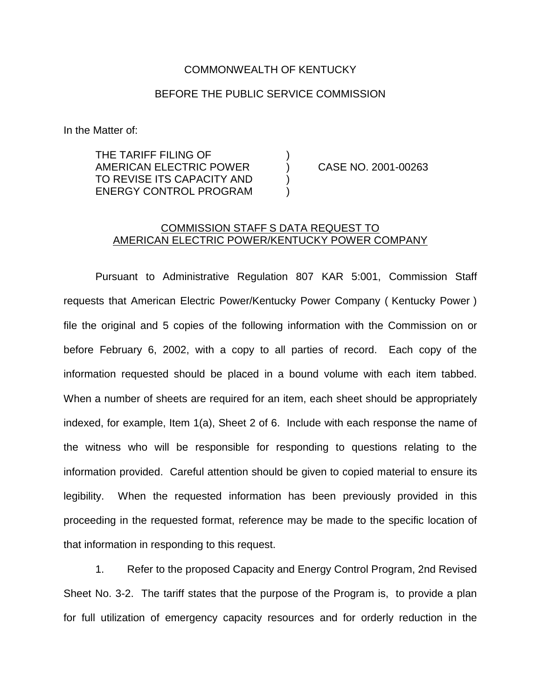## COMMONWEALTH OF KENTUCKY

## BEFORE THE PUBLIC SERVICE COMMISSION

In the Matter of:

THE TARIFF FILING OF ) AMERICAN ELECTRIC POWER ) CASE NO. 2001-00263 TO REVISE ITS CAPACITY AND ) ENERGY CONTROL PROGRAM )

## COMMISSION STAFF S DATA REQUEST TO AMERICAN ELECTRIC POWER/KENTUCKY POWER COMPANY

Pursuant to Administrative Regulation 807 KAR 5:001, Commission Staff requests that American Electric Power/Kentucky Power Company ( Kentucky Power ) file the original and 5 copies of the following information with the Commission on or before February 6, 2002, with a copy to all parties of record. Each copy of the information requested should be placed in a bound volume with each item tabbed. When a number of sheets are required for an item, each sheet should be appropriately indexed, for example, Item 1(a), Sheet 2 of 6. Include with each response the name of the witness who will be responsible for responding to questions relating to the information provided. Careful attention should be given to copied material to ensure its legibility. When the requested information has been previously provided in this proceeding in the requested format, reference may be made to the specific location of that information in responding to this request.

1. Refer to the proposed Capacity and Energy Control Program, 2nd Revised Sheet No. 3-2. The tariff states that the purpose of the Program is, to provide a plan for full utilization of emergency capacity resources and for orderly reduction in the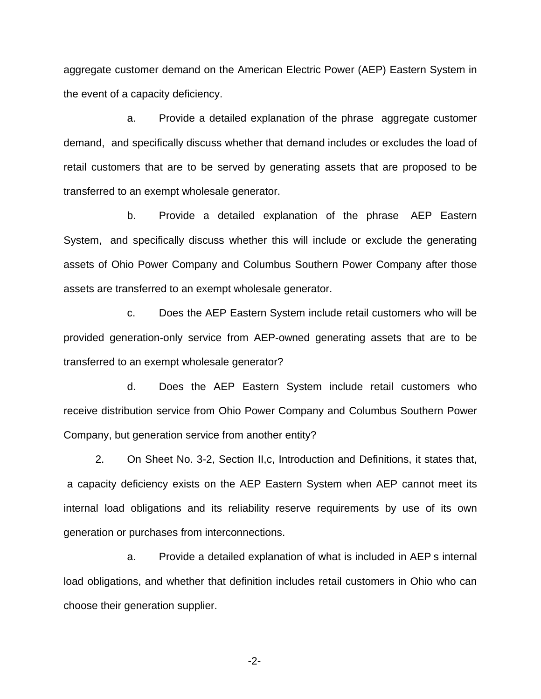aggregate customer demand on the American Electric Power (AEP) Eastern System in the event of a capacity deficiency.

a. Provide a detailed explanation of the phrase aggregate customer demand, and specifically discuss whether that demand includes or excludes the load of retail customers that are to be served by generating assets that are proposed to be transferred to an exempt wholesale generator.

b. Provide a detailed explanation of the phrase AEP Eastern System, and specifically discuss whether this will include or exclude the generating assets of Ohio Power Company and Columbus Southern Power Company after those assets are transferred to an exempt wholesale generator.

c. Does the AEP Eastern System include retail customers who will be provided generation-only service from AEP-owned generating assets that are to be transferred to an exempt wholesale generator?

d. Does the AEP Eastern System include retail customers who receive distribution service from Ohio Power Company and Columbus Southern Power Company, but generation service from another entity?

2. On Sheet No. 3-2, Section II,c, Introduction and Definitions, it states that, a capacity deficiency exists on the AEP Eastern System when AEP cannot meet its internal load obligations and its reliability reserve requirements by use of its own generation or purchases from interconnections.

a. Provide a detailed explanation of what is included in AEP s internal load obligations, and whether that definition includes retail customers in Ohio who can choose their generation supplier.

-2-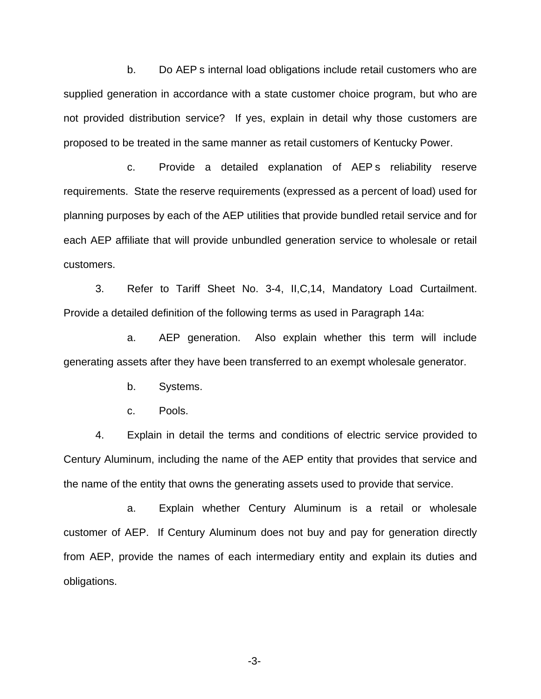b. Do AEP s internal load obligations include retail customers who are supplied generation in accordance with a state customer choice program, but who are not provided distribution service? If yes, explain in detail why those customers are proposed to be treated in the same manner as retail customers of Kentucky Power.

c. Provide a detailed explanation of AEP s reliability reserve requirements. State the reserve requirements (expressed as a percent of load) used for planning purposes by each of the AEP utilities that provide bundled retail service and for each AEP affiliate that will provide unbundled generation service to wholesale or retail customers.

3. Refer to Tariff Sheet No. 3-4, II,C,14, Mandatory Load Curtailment. Provide a detailed definition of the following terms as used in Paragraph 14a:

a. AEP generation. Also explain whether this term will include generating assets after they have been transferred to an exempt wholesale generator.

b. Systems.

c. Pools.

4. Explain in detail the terms and conditions of electric service provided to Century Aluminum, including the name of the AEP entity that provides that service and the name of the entity that owns the generating assets used to provide that service.

a. Explain whether Century Aluminum is a retail or wholesale customer of AEP. If Century Aluminum does not buy and pay for generation directly from AEP, provide the names of each intermediary entity and explain its duties and obligations.

-3-